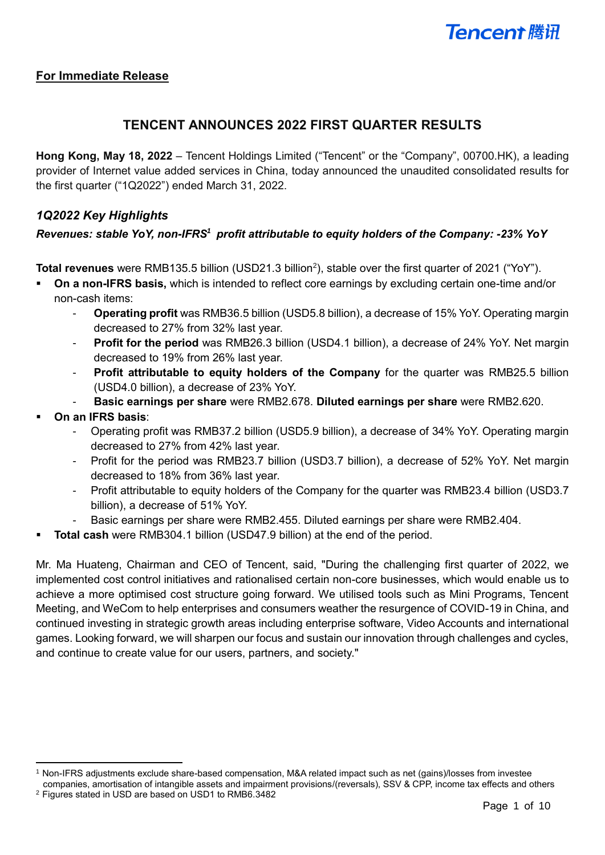## **For Immediate Release**

## **TENCENT ANNOUNCES 2022 FIRST QUARTER RESULTS**

**Hong Kong, May 18, 2022** – Tencent Holdings Limited ("Tencent" or the "Company", 00700.HK), a leading provider of Internet value added services in China, today announced the unaudited consolidated results for the first quarter ("1Q2022") ended March 31, 2022.

## *1Q2022 Key Highlights*

## *Revenues: stable YoY, non-IFRS<sup>1</sup> profit attributable to equity holders of the Company: -23% YoY*

Total revenues were RMB135.5 billion (USD21.3 billion<sup>2</sup>), stable over the first quarter of 2021 ("YoY").

- **On a non-IFRS basis,** which is intended to reflect core earnings by excluding certain one-time and/or non-cash items:
	- **Operating profit** was RMB36.5 billion (USD5.8 billion), a decrease of 15% YoY. Operating margin decreased to 27% from 32% last year.
	- **Profit for the period** was RMB26.3 billion (USD4.1 billion), a decrease of 24% YoY. Net margin decreased to 19% from 26% last year.
	- **Profit attributable to equity holders of the Company** for the quarter was RMB25.5 billion (USD4.0 billion), a decrease of 23% YoY.
	- **Basic earnings per share** were RMB2.678. **Diluted earnings per share** were RMB2.620.
- **On an IFRS basis:** 
	- Operating profit was RMB37.2 billion (USD5.9 billion), a decrease of 34% YoY. Operating margin decreased to 27% from 42% last year.
	- Profit for the period was RMB23.7 billion (USD3.7 billion), a decrease of 52% YoY. Net margin decreased to 18% from 36% last year.
	- Profit attributable to equity holders of the Company for the quarter was RMB23.4 billion (USD3.7 billion), a decrease of 51% YoY.
	- Basic earnings per share were RMB2.455. Diluted earnings per share were RMB2.404.
- **Total cash** were RMB304.1 billion (USD47.9 billion) at the end of the period.

Mr. Ma Huateng, Chairman and CEO of Tencent, said, "During the challenging first quarter of 2022, we implemented cost control initiatives and rationalised certain non-core businesses, which would enable us to achieve a more optimised cost structure going forward. We utilised tools such as Mini Programs, Tencent Meeting, and WeCom to help enterprises and consumers weather the resurgence of COVID-19 in China, and continued investing in strategic growth areas including enterprise software, Video Accounts and international games. Looking forward, we will sharpen our focus and sustain our innovation through challenges and cycles, and continue to create value for our users, partners, and society."

 $\overline{a}$ 

<sup>1</sup> Non-IFRS adjustments exclude share-based compensation, M&A related impact such as net (gains)/losses from investee companies, amortisation of intangible assets and impairment provisions/(reversals), SSV & CPP, income tax effects and others

<sup>2</sup> Figures stated in USD are based on USD1 to RMB6.3482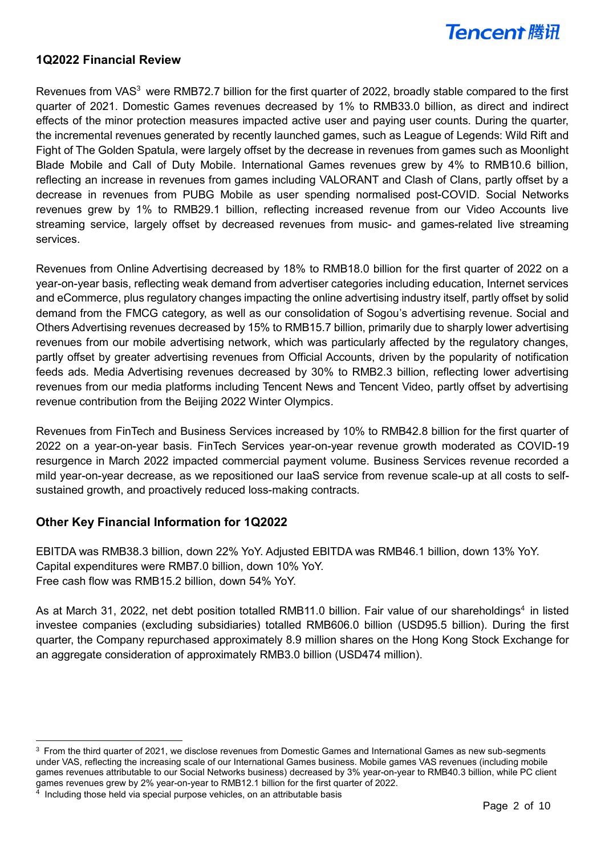

### **1Q2022 Financial Review**

Revenues from VAS<sup>3</sup> were RMB72.7 billion for the first quarter of 2022, broadly stable compared to the first quarter of 2021. Domestic Games revenues decreased by 1% to RMB33.0 billion, as direct and indirect effects of the minor protection measures impacted active user and paying user counts. During the quarter, the incremental revenues generated by recently launched games, such as League of Legends: Wild Rift and Fight of The Golden Spatula, were largely offset by the decrease in revenues from games such as Moonlight Blade Mobile and Call of Duty Mobile. International Games revenues grew by 4% to RMB10.6 billion, reflecting an increase in revenues from games including VALORANT and Clash of Clans, partly offset by a decrease in revenues from PUBG Mobile as user spending normalised post-COVID. Social Networks revenues grew by 1% to RMB29.1 billion, reflecting increased revenue from our Video Accounts live streaming service, largely offset by decreased revenues from music- and games-related live streaming services.

Revenues from Online Advertising decreased by 18% to RMB18.0 billion for the first quarter of 2022 on a year-on-year basis, reflecting weak demand from advertiser categories including education, Internet services and eCommerce, plus regulatory changes impacting the online advertising industry itself, partly offset by solid demand from the FMCG category, as well as our consolidation of Sogou's advertising revenue. Social and Others Advertising revenues decreased by 15% to RMB15.7 billion, primarily due to sharply lower advertising revenues from our mobile advertising network, which was particularly affected by the regulatory changes, partly offset by greater advertising revenues from Official Accounts, driven by the popularity of notification feeds ads. Media Advertising revenues decreased by 30% to RMB2.3 billion, reflecting lower advertising revenues from our media platforms including Tencent News and Tencent Video, partly offset by advertising revenue contribution from the Beijing 2022 Winter Olympics.

Revenues from FinTech and Business Services increased by 10% to RMB42.8 billion for the first quarter of 2022 on a year-on-year basis. FinTech Services year-on-year revenue growth moderated as COVID-19 resurgence in March 2022 impacted commercial payment volume. Business Services revenue recorded a mild year-on-year decrease, as we repositioned our IaaS service from revenue scale-up at all costs to selfsustained growth, and proactively reduced loss-making contracts.

## **Other Key Financial Information for 1Q2022**

EBITDA was RMB38.3 billion, down 22% YoY. Adjusted EBITDA was RMB46.1 billion, down 13% YoY. Capital expenditures were RMB7.0 billion, down 10% YoY. Free cash flow was RMB15.2 billion, down 54% YoY.

As at March 31, 2022, net debt position totalled RMB11.0 billion. Fair value of our shareholdings<sup>4</sup> in listed investee companies (excluding subsidiaries) totalled RMB606.0 billion (USD95.5 billion). During the first quarter, the Company repurchased approximately 8.9 million shares on the Hong Kong Stock Exchange for an aggregate consideration of approximately RMB3.0 billion (USD474 million).

 $\overline{a}$ 

 $3$  From the third quarter of 2021, we disclose revenues from Domestic Games and International Games as new sub-segments under VAS, reflecting the increasing scale of our International Games business. Mobile games VAS revenues (including mobile games revenues attributable to our Social Networks business) decreased by 3% year-on-year to RMB40.3 billion, while PC client games revenues grew by 2% year-on-year to RMB12.1 billion for the first quarter of 2022.

<sup>&</sup>lt;sup>4</sup> Including those held via special purpose vehicles, on an attributable basis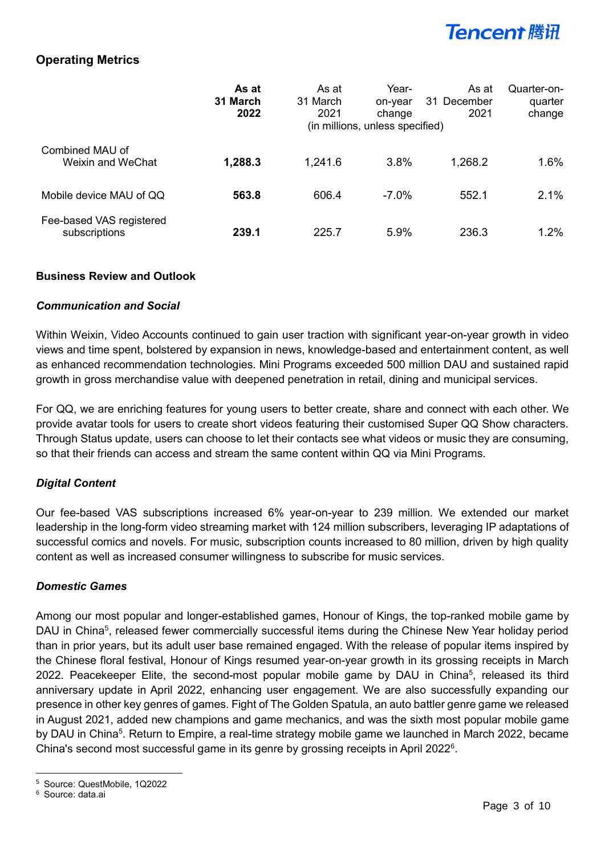## **Operating Metrics**

|                                           | As at<br>31 March<br>2022 | As at<br>31 March<br>2021 | Year-<br>on-year<br>change<br>(in millions, unless specified) | As at<br>31 December<br>2021 | Quarter-on-<br>quarter<br>change |
|-------------------------------------------|---------------------------|---------------------------|---------------------------------------------------------------|------------------------------|----------------------------------|
| Combined MAU of<br>Weixin and WeChat      | 1,288.3                   | 1,241.6                   | $3.8\%$                                                       | 1,268.2                      | 1.6%                             |
| Mobile device MAU of QQ                   | 563.8                     | 606.4                     | $-7.0\%$                                                      | 552.1                        | 2.1%                             |
| Fee-based VAS registered<br>subscriptions | 239.1                     | 225.7                     | 5.9%                                                          | 236.3                        | 1.2%                             |

### **Business Review and Outlook**

### *Communication and Social*

Within Weixin, Video Accounts continued to gain user traction with significant year-on-year growth in video views and time spent, bolstered by expansion in news, knowledge-based and entertainment content, as well as enhanced recommendation technologies. Mini Programs exceeded 500 million DAU and sustained rapid growth in gross merchandise value with deepened penetration in retail, dining and municipal services.

For QQ, we are enriching features for young users to better create, share and connect with each other. We provide avatar tools for users to create short videos featuring their customised Super QQ Show characters. Through Status update, users can choose to let their contacts see what videos or music they are consuming, so that their friends can access and stream the same content within QQ via Mini Programs.

## *Digital Content*

Our fee-based VAS subscriptions increased 6% year-on-year to 239 million. We extended our market leadership in the long-form video streaming market with 124 million subscribers, leveraging IP adaptations of successful comics and novels. For music, subscription counts increased to 80 million, driven by high quality content as well as increased consumer willingness to subscribe for music services.

## *Domestic Games*

Among our most popular and longer-established games, Honour of Kings, the top-ranked mobile game by DAU in China<sup>5</sup>, released fewer commercially successful items during the Chinese New Year holiday period than in prior years, but its adult user base remained engaged. With the release of popular items inspired by the Chinese floral festival, Honour of Kings resumed year-on-year growth in its grossing receipts in March 2022. Peacekeeper Elite, the second-most popular mobile game by DAU in China<sup>5</sup>, released its third anniversary update in April 2022, enhancing user engagement. We are also successfully expanding our presence in other key genres of games. Fight of The Golden Spatula, an auto battler genre game we released in August 2021, added new champions and game mechanics, and was the sixth most popular mobile game by DAU in China<sup>5</sup>. Return to Empire, a real-time strategy mobile game we launched in March 2022, became China's second most successful game in its genre by grossing receipts in April 2022<sup>6</sup>.

 $\overline{a}$ <sup>5</sup> Source: QuestMobile, 1Q2022

<sup>6</sup> Source: data.ai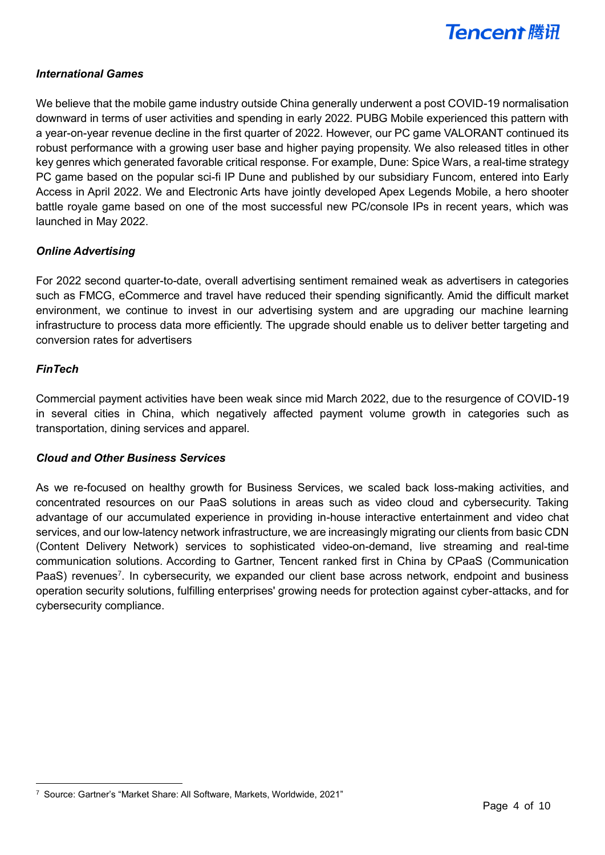

### *International Games*

We believe that the mobile game industry outside China generally underwent a post COVID-19 normalisation downward in terms of user activities and spending in early 2022. PUBG Mobile experienced this pattern with a year-on-year revenue decline in the first quarter of 2022. However, our PC game VALORANT continued its robust performance with a growing user base and higher paying propensity. We also released titles in other key genres which generated favorable critical response. For example, Dune: Spice Wars, a real-time strategy PC game based on the popular sci-fi IP Dune and published by our subsidiary Funcom, entered into Early Access in April 2022. We and Electronic Arts have jointly developed Apex Legends Mobile, a hero shooter battle royale game based on one of the most successful new PC/console IPs in recent years, which was launched in May 2022.

### *Online Advertising*

For 2022 second quarter-to-date, overall advertising sentiment remained weak as advertisers in categories such as FMCG, eCommerce and travel have reduced their spending significantly. Amid the difficult market environment, we continue to invest in our advertising system and are upgrading our machine learning infrastructure to process data more efficiently. The upgrade should enable us to deliver better targeting and conversion rates for advertisers

#### *FinTech*

 $\overline{a}$ 

Commercial payment activities have been weak since mid March 2022, due to the resurgence of COVID-19 in several cities in China, which negatively affected payment volume growth in categories such as transportation, dining services and apparel.

#### *Cloud and Other Business Services*

As we re-focused on healthy growth for Business Services, we scaled back loss-making activities, and concentrated resources on our PaaS solutions in areas such as video cloud and cybersecurity. Taking advantage of our accumulated experience in providing in-house interactive entertainment and video chat services, and our low-latency network infrastructure, we are increasingly migrating our clients from basic CDN (Content Delivery Network) services to sophisticated video-on-demand, live streaming and real-time communication solutions. According to Gartner, Tencent ranked first in China by CPaaS (Communication PaaS) revenues<sup>7</sup>. In cybersecurity, we expanded our client base across network, endpoint and business operation security solutions, fulfilling enterprises' growing needs for protection against cyber-attacks, and for cybersecurity compliance.

<sup>7</sup> Source: Gartner's "Market Share: All Software, Markets, Worldwide, 2021"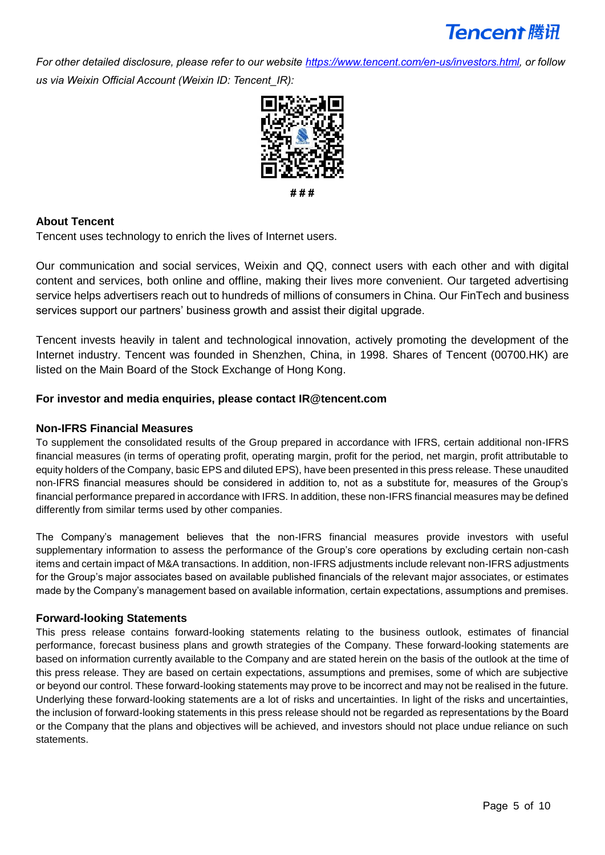*For other detailed disclosure, please refer to our website [https://www.tencent.com/en-us/investors.html,](https://www.tencent.com/en-us/investors.html) or follow us via Weixin Official Account (Weixin ID: Tencent\_IR):* 



**# # #**

## **About Tencent**

Tencent uses technology to enrich the lives of Internet users.

Our communication and social services, Weixin and QQ, connect users with each other and with digital content and services, both online and offline, making their lives more convenient. Our targeted advertising service helps advertisers reach out to hundreds of millions of consumers in China. Our FinTech and business services support our partners' business growth and assist their digital upgrade.

Tencent invests heavily in talent and technological innovation, actively promoting the development of the Internet industry. Tencent was founded in Shenzhen, China, in 1998. Shares of Tencent (00700.HK) are listed on the Main Board of the Stock Exchange of Hong Kong.

### **For investor and media enquiries, please contact IR@tencent.com**

### **Non-IFRS Financial Measures**

To supplement the consolidated results of the Group prepared in accordance with IFRS, certain additional non-IFRS financial measures (in terms of operating profit, operating margin, profit for the period, net margin, profit attributable to equity holders of the Company, basic EPS and diluted EPS), have been presented in this press release. These unaudited non-IFRS financial measures should be considered in addition to, not as a substitute for, measures of the Group's financial performance prepared in accordance with IFRS. In addition, these non-IFRS financial measures may be defined differently from similar terms used by other companies.

The Company's management believes that the non-IFRS financial measures provide investors with useful supplementary information to assess the performance of the Group's core operations by excluding certain non-cash items and certain impact of M&A transactions. In addition, non-IFRS adjustments include relevant non-IFRS adjustments for the Group's major associates based on available published financials of the relevant major associates, or estimates made by the Company's management based on available information, certain expectations, assumptions and premises.

### **Forward-looking Statements**

This press release contains forward-looking statements relating to the business outlook, estimates of financial performance, forecast business plans and growth strategies of the Company. These forward-looking statements are based on information currently available to the Company and are stated herein on the basis of the outlook at the time of this press release. They are based on certain expectations, assumptions and premises, some of which are subjective or beyond our control. These forward-looking statements may prove to be incorrect and may not be realised in the future. Underlying these forward-looking statements are a lot of risks and uncertainties. In light of the risks and uncertainties, the inclusion of forward-looking statements in this press release should not be regarded as representations by the Board or the Company that the plans and objectives will be achieved, and investors should not place undue reliance on such statements.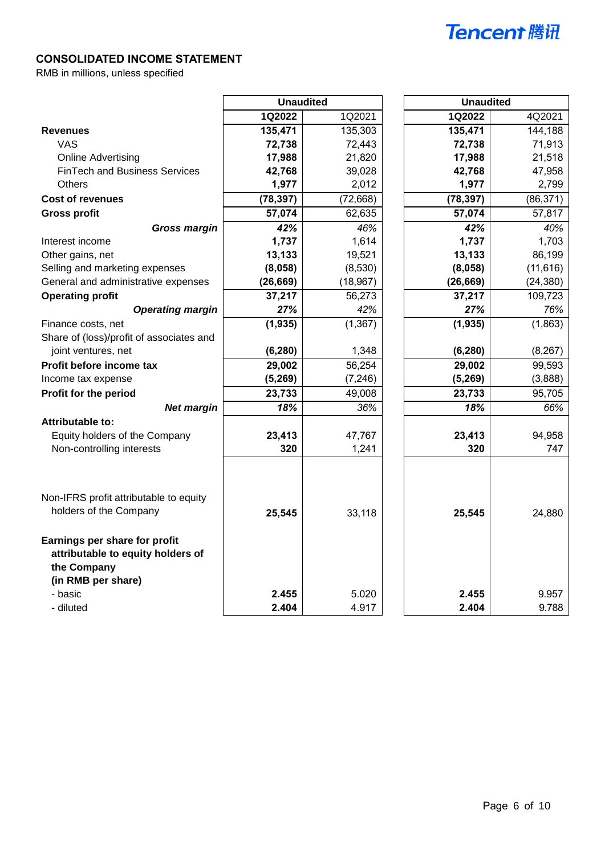## **CONSOLIDATED INCOME STATEMENT**

RMB in millions, unless specified

|                                                                                                         | <b>Unaudited</b> |           | <b>Unaudited</b> |           |
|---------------------------------------------------------------------------------------------------------|------------------|-----------|------------------|-----------|
|                                                                                                         | 1Q2022           | 1Q2021    | 1Q2022           | 4Q2021    |
| <b>Revenues</b>                                                                                         | 135,471          | 135,303   | 135,471          | 144,188   |
| <b>VAS</b>                                                                                              | 72,738           | 72,443    | 72,738           | 71,913    |
| <b>Online Advertising</b>                                                                               | 17,988           | 21,820    | 17,988           | 21,518    |
| <b>FinTech and Business Services</b>                                                                    | 42,768           | 39,028    | 42,768           | 47,958    |
| Others                                                                                                  | 1,977            | 2,012     | 1,977            | 2,799     |
| <b>Cost of revenues</b>                                                                                 | (78, 397)        | (72, 668) | (78, 397)        | (86, 371) |
| <b>Gross profit</b>                                                                                     | 57,074           | 62,635    | 57,074           | 57,817    |
| <b>Gross margin</b>                                                                                     | 42%              | 46%       | 42%              | 40%       |
| Interest income                                                                                         | 1,737            | 1,614     | 1,737            | 1,703     |
| Other gains, net                                                                                        | 13,133           | 19,521    | 13,133           | 86,199    |
| Selling and marketing expenses                                                                          | (8,058)          | (8,530)   | (8,058)          | (11, 616) |
| General and administrative expenses                                                                     | (26, 669)        | (18, 967) | (26, 669)        | (24, 380) |
| <b>Operating profit</b>                                                                                 | 37,217           | 56,273    | 37,217           | 109,723   |
| <b>Operating margin</b>                                                                                 | 27%              | 42%       | 27%              | 76%       |
| Finance costs, net                                                                                      | (1, 935)         | (1, 367)  | (1, 935)         | (1,863)   |
| Share of (loss)/profit of associates and                                                                |                  |           |                  |           |
| joint ventures, net                                                                                     | (6, 280)         | 1,348     | (6, 280)         | (8, 267)  |
| Profit before income tax                                                                                | 29,002           | 56,254    | 29,002           | 99,593    |
| Income tax expense                                                                                      | (5, 269)         | (7, 246)  | (5, 269)         | (3,888)   |
| Profit for the period                                                                                   | 23,733           | 49,008    | 23,733           | 95,705    |
| <b>Net margin</b>                                                                                       | 18%              | 36%       | 18%              | 66%       |
| Attributable to:                                                                                        |                  |           |                  |           |
| Equity holders of the Company                                                                           | 23,413           | 47,767    | 23,413           | 94,958    |
| Non-controlling interests                                                                               | 320              | 1,241     | 320              | 747       |
| Non-IFRS profit attributable to equity<br>holders of the Company                                        | 25,545           | 33,118    | 25,545           | 24,880    |
| Earnings per share for profit<br>attributable to equity holders of<br>the Company<br>(in RMB per share) |                  |           |                  |           |
| - basic                                                                                                 | 2.455            | 5.020     | 2.455            | 9.957     |
| - diluted                                                                                               | 2.404            | 4.917     | 2.404            | 9.788     |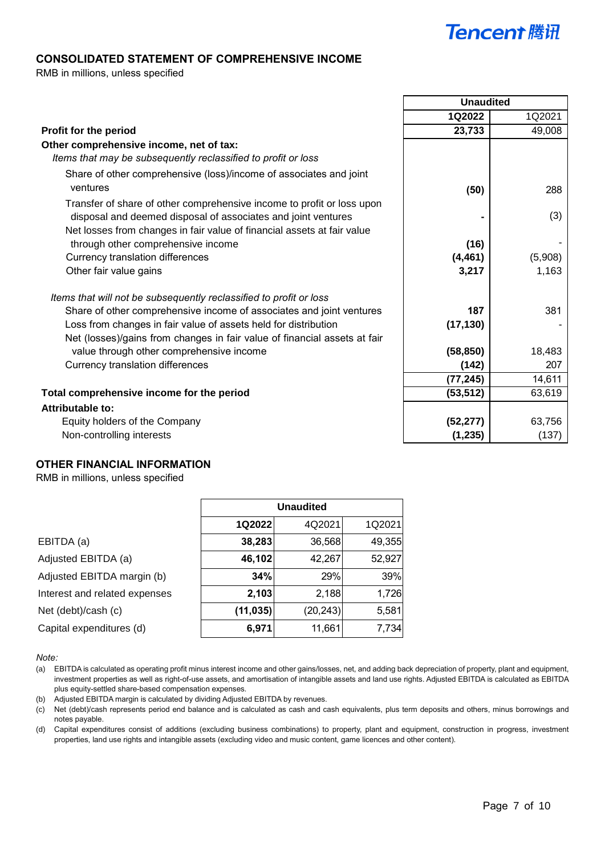#### **CONSOLIDATED STATEMENT OF COMPREHENSIVE INCOME**

RMB in millions, unless specified

|                                                                           | <b>Unaudited</b> |         |
|---------------------------------------------------------------------------|------------------|---------|
|                                                                           | 1Q2022           | 1Q2021  |
| Profit for the period                                                     | 23,733           | 49,008  |
| Other comprehensive income, net of tax:                                   |                  |         |
| Items that may be subsequently reclassified to profit or loss             |                  |         |
| Share of other comprehensive (loss)/income of associates and joint        |                  |         |
| ventures                                                                  | (50)             | 288     |
| Transfer of share of other comprehensive income to profit or loss upon    |                  |         |
| disposal and deemed disposal of associates and joint ventures             |                  | (3)     |
| Net losses from changes in fair value of financial assets at fair value   |                  |         |
| through other comprehensive income                                        | (16)             |         |
| Currency translation differences                                          | (4, 461)         | (5,908) |
| Other fair value gains                                                    | 3,217            | 1,163   |
| Items that will not be subsequently reclassified to profit or loss        |                  |         |
| Share of other comprehensive income of associates and joint ventures      | 187              | 381     |
| Loss from changes in fair value of assets held for distribution           | (17, 130)        |         |
| Net (losses)/gains from changes in fair value of financial assets at fair |                  |         |
| value through other comprehensive income                                  | (58, 850)        | 18,483  |
| Currency translation differences                                          | (142)            | 207     |
|                                                                           | (77, 245)        | 14,611  |
| Total comprehensive income for the period                                 | (53, 512)        | 63,619  |
| Attributable to:                                                          |                  |         |
| Equity holders of the Company                                             | (52, 277)        | 63,756  |
| Non-controlling interests                                                 | (1, 235)         | (137)   |

#### **OTHER FINANCIAL INFORMATION**

RMB in millions, unless specified

|                               | <b>Unaudited</b>           |           |        |  |
|-------------------------------|----------------------------|-----------|--------|--|
|                               | 1Q2021<br>1Q2022<br>4Q2021 |           |        |  |
| EBITDA (a)                    | 38,283                     | 36,568    | 49,355 |  |
| Adjusted EBITDA (a)           | 46,102                     | 42,267    | 52,927 |  |
| Adjusted EBITDA margin (b)    | 34%                        | 29%       | 39%    |  |
| Interest and related expenses | 2,103                      | 2,188     | 1,726  |  |
| Net (debt)/cash (c)           | (11, 035)                  | (20, 243) | 5,581  |  |
| Capital expenditures (d)      | 6,971                      | 11,661    | 7,734  |  |

*Note:*

(b) Adjusted EBITDA margin is calculated by dividing Adjusted EBITDA by revenues.

(c) Net (debt)/cash represents period end balance and is calculated as cash and cash equivalents, plus term deposits and others, minus borrowings and notes payable.

(d) Capital expenditures consist of additions (excluding business combinations) to property, plant and equipment, construction in progress, investment properties, land use rights and intangible assets (excluding video and music content, game licences and other content).

<sup>(</sup>a) EBITDA is calculated as operating profit minus interest income and other gains/losses, net, and adding back depreciation of property, plant and equipment, investment properties as well as right-of-use assets, and amortisation of intangible assets and land use rights. Adjusted EBITDA is calculated as EBITDA plus equity-settled share-based compensation expenses.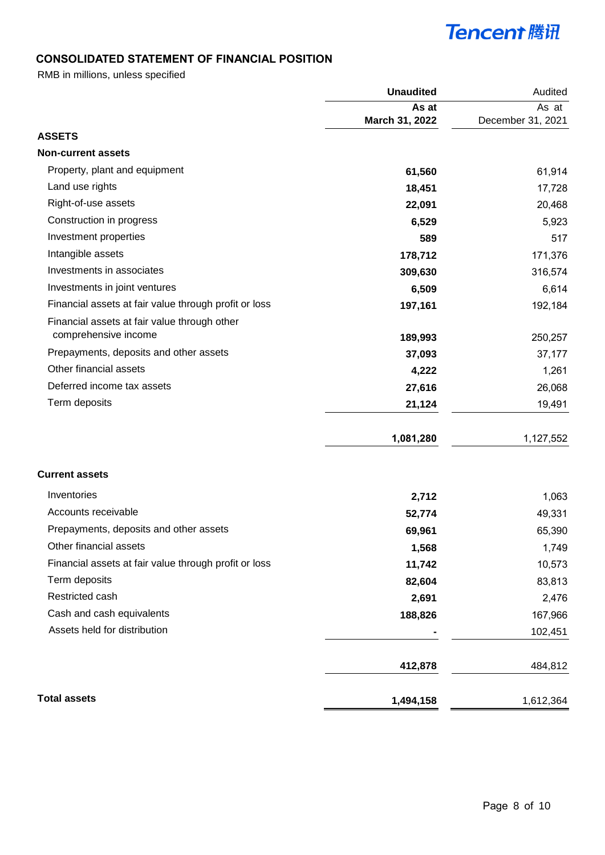## **CONSOLIDATED STATEMENT OF FINANCIAL POSITION**

RMB in millions, unless specified

|                                                       | <b>Unaudited</b> | Audited           |
|-------------------------------------------------------|------------------|-------------------|
|                                                       | As at            | As at             |
|                                                       | March 31, 2022   | December 31, 2021 |
| <b>ASSETS</b>                                         |                  |                   |
| <b>Non-current assets</b>                             |                  |                   |
| Property, plant and equipment                         | 61,560           | 61,914            |
| Land use rights                                       | 18,451           | 17,728            |
| Right-of-use assets                                   | 22,091           | 20,468            |
| Construction in progress                              | 6,529            | 5,923             |
| Investment properties                                 | 589              | 517               |
| Intangible assets                                     | 178,712          | 171,376           |
| Investments in associates                             | 309,630          | 316,574           |
| Investments in joint ventures                         | 6,509            | 6,614             |
| Financial assets at fair value through profit or loss | 197,161          | 192,184           |
| Financial assets at fair value through other          |                  |                   |
| comprehensive income                                  | 189,993          | 250,257           |
| Prepayments, deposits and other assets                | 37,093           | 37,177            |
| Other financial assets                                | 4,222            | 1,261             |
| Deferred income tax assets                            | 27,616           | 26,068            |
| Term deposits                                         | 21,124           | 19,491            |
|                                                       | 1,081,280        | 1,127,552         |
| <b>Current assets</b>                                 |                  |                   |
| Inventories                                           | 2,712            | 1,063             |
| Accounts receivable                                   | 52,774           | 49,331            |
| Prepayments, deposits and other assets                | 69,961           | 65,390            |
| Other financial assets                                | 1,568            | 1,749             |
| Financial assets at fair value through profit or loss | 11,742           | 10,573            |
| Term deposits                                         | 82,604           | 83,813            |
| Restricted cash                                       | 2,691            | 2,476             |
| Cash and cash equivalents                             | 188,826          | 167,966           |
| Assets held for distribution                          |                  | 102,451           |
|                                                       | 412,878          | 484,812           |
| <b>Total assets</b>                                   | 1,494,158        | 1,612,364         |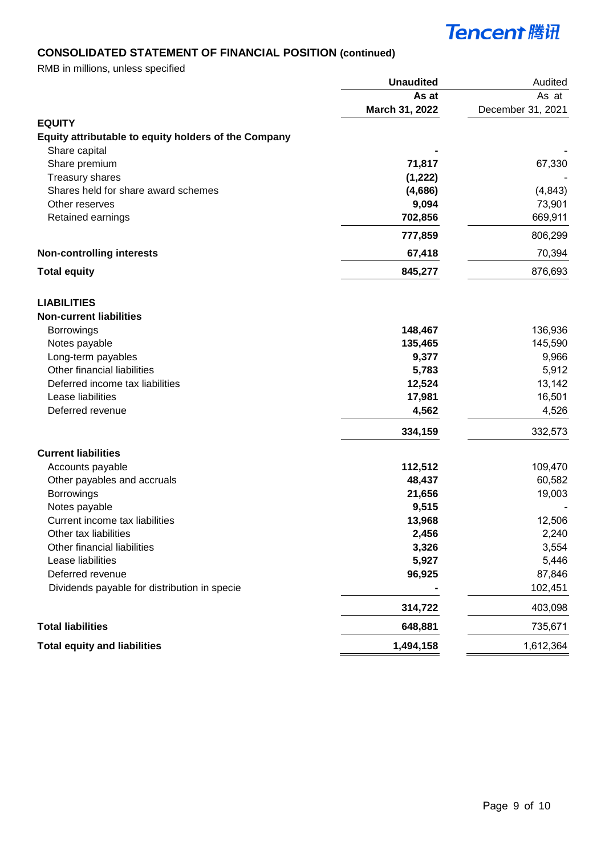## **CONSOLIDATED STATEMENT OF FINANCIAL POSITION (continued)**

RMB in millions, unless specified

|                                                      | <b>Unaudited</b> | Audited           |
|------------------------------------------------------|------------------|-------------------|
|                                                      | As at            | As at             |
|                                                      | March 31, 2022   | December 31, 2021 |
| <b>EQUITY</b>                                        |                  |                   |
| Equity attributable to equity holders of the Company |                  |                   |
| Share capital                                        |                  |                   |
| Share premium                                        | 71,817           | 67,330            |
| Treasury shares                                      | (1, 222)         |                   |
| Shares held for share award schemes                  | (4,686)          | (4, 843)          |
| Other reserves                                       | 9,094            | 73,901            |
| Retained earnings                                    | 702,856          | 669,911           |
|                                                      | 777,859          | 806,299           |
| <b>Non-controlling interests</b>                     | 67,418           | 70,394            |
| <b>Total equity</b>                                  | 845,277          | 876,693           |
| <b>LIABILITIES</b>                                   |                  |                   |
| <b>Non-current liabilities</b>                       |                  |                   |
| Borrowings                                           | 148,467          | 136,936           |
| Notes payable                                        | 135,465          | 145,590           |
| Long-term payables                                   | 9,377            | 9,966             |
| Other financial liabilities                          | 5,783            | 5,912             |
| Deferred income tax liabilities                      | 12,524           | 13,142            |
| Lease liabilities                                    | 17,981           | 16,501            |
| Deferred revenue                                     | 4,562            | 4,526             |
|                                                      | 334,159          | 332,573           |
| <b>Current liabilities</b>                           |                  |                   |
| Accounts payable                                     | 112,512          | 109,470           |
| Other payables and accruals                          | 48,437           | 60,582            |
| <b>Borrowings</b>                                    | 21,656           | 19,003            |
| Notes payable                                        | 9,515            |                   |
| Current income tax liabilities                       | 13,968           | 12,506            |
| Other tax liabilities                                | 2,456            | 2,240             |
| Other financial liabilities                          | 3,326            | 3,554             |
| Lease liabilities                                    | 5,927            | 5,446             |
| Deferred revenue                                     | 96,925           | 87,846            |
| Dividends payable for distribution in specie         |                  | 102,451           |
|                                                      | 314,722          | 403,098           |
| <b>Total liabilities</b>                             | 648,881          | 735,671           |
| <b>Total equity and liabilities</b>                  | 1,494,158        | 1,612,364         |